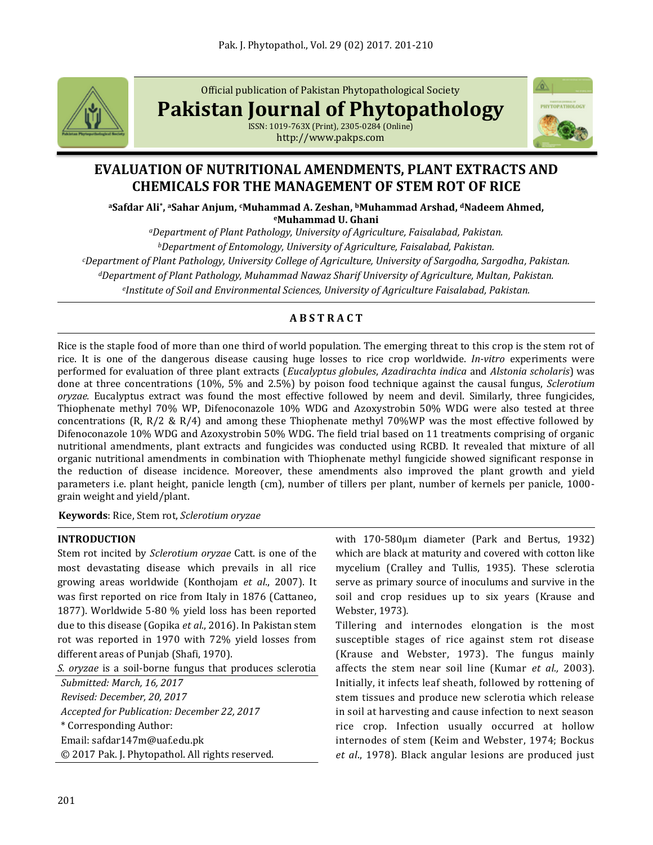

Official publication of Pakistan Phytopathological Society

**Pakistan Journal of Phytopathology**

ISSN: 1019-763X (Print), 2305-0284 (Online) http://www.pakps.com



# **EVALUATION OF NUTRITIONAL AMENDMENTS, PLANT EXTRACTS AND CHEMICALS FOR THE MANAGEMENT OF STEM ROT OF RICE**

**<sup>a</sup>Safdar Ali\* , <sup>a</sup>Sahar Anjum, cMuhammad A. Zeshan, bMuhammad Arshad, dNadeem Ahmed, <sup>e</sup>Muhammad U. Ghani**

*<sup>a</sup>Department of Plant Pathology, University of Agriculture, Faisalabad, Pakistan. <sup>b</sup>Department of Entomology, University of Agriculture, Faisalabad, Pakistan. <sup>c</sup>Department of Plant Pathology, University College of Agriculture, University of Sargodha, Sargodha, Pakistan. <sup>d</sup>Department of Plant Pathology, Muhammad Nawaz Sharif University of Agriculture, Multan, Pakistan. e Institute of Soil and Environmental Sciences, University of Agriculture Faisalabad, Pakistan.*

## **A B S T R A C T**

Rice is the staple food of more than one third of world population. The emerging threat to this crop is the stem rot of rice. It is one of the dangerous disease causing huge losses to rice crop worldwide. *In-vitro* experiments were performed for evaluation of three plant extracts (*Eucalyptus globules*, *Azadirachta indica* and *Alstonia scholaris*) was done at three concentrations (10%, 5% and 2.5%) by poison food technique against the causal fungus, *Sclerotium oryzae.* Eucalyptus extract was found the most effective followed by neem and devil. Similarly, three fungicides, Thiophenate methyl 70% WP, Difenoconazole 10% WDG and Azoxystrobin 50% WDG were also tested at three concentrations (R, R/2 & R/4) and among these Thiophenate methyl 70%WP was the most effective followed by Difenoconazole 10% WDG and Azoxystrobin 50% WDG. The field trial based on 11 treatments comprising of organic nutritional amendments, plant extracts and fungicides was conducted using RCBD. It revealed that mixture of all organic nutritional amendments in combination with Thiophenate methyl fungicide showed significant response in the reduction of disease incidence. Moreover, these amendments also improved the plant growth and yield parameters i.e. plant height, panicle length (cm), number of tillers per plant, number of kernels per panicle, 1000 grain weight and yield/plant.

**Keywords**: Rice, Stem rot, *Sclerotium oryzae*

## **INTRODUCTION**

Stem rot incited by *Sclerotium oryzae* Catt. is one of the most devastating disease which prevails in all rice growing areas worldwide (Konthojam *et al*., 2007). It was first reported on rice from Italy in 1876 (Cattaneo, 1877). Worldwide 5-80 % yield loss has been reported due to this disease (Gopika *et al*., 2016). In Pakistan stem rot was reported in 1970 with 72% yield losses from different areas of Punjab (Shafi, 1970).

*S. oryzae* is a soil-borne fungus that produces sclerotia

*Submitted: March, 16, 2017 Revised: December, 20, 2017 Accepted for Publication: December 22, 2017* \* Corresponding Author: Email: safdar147m@uaf.edu.pk © 2017 Pak. J. Phytopathol. All rights reserved. with 170-580μm diameter (Park and Bertus, 1932) which are black at maturity and covered with cotton like mycelium (Cralley and Tullis, 1935). These sclerotia serve as primary source of inoculums and survive in the soil and crop residues up to six years (Krause and Webster, 1973)*.* 

Tillering and internodes elongation is the most susceptible stages of rice against stem rot disease (Krause and Webster, 1973). The fungus mainly affects the stem near soil line (Kumar *et al.,* 2003). Initially, it infects leaf sheath, followed by rottening of stem tissues and produce new sclerotia which release in soil at harvesting and cause infection to next season rice crop. Infection usually occurred at hollow internodes of stem (Keim and Webster, 1974; Bockus *et al*., 1978). Black angular lesions are produced just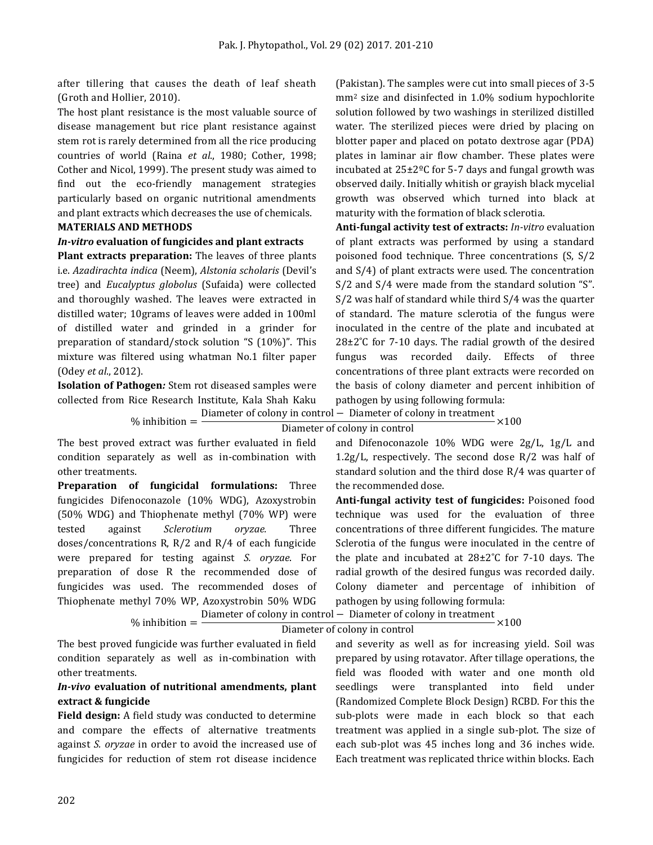after tillering that causes the death of leaf sheath (Groth and Hollier, 2010).

The host plant resistance is the most valuable source of disease management but rice plant resistance against stem rot is rarely determined from all the rice producing countries of world (Raina *et al*., 1980; Cother, 1998; Cother and Nicol, 1999). The present study was aimed to find out the eco-friendly management strategies particularly based on organic nutritional amendments and plant extracts which decreases the use of chemicals.

### **MATERIALS AND METHODS**

#### *In-vitro* **evaluation of fungicides and plant extracts**

**Plant extracts preparation:** The leaves of three plants i.e. *Azadirachta indica* (Neem), *Alstonia scholaris* (Devil's tree) and *Eucalyptus globolus* (Sufaida) were collected and thoroughly washed. The leaves were extracted in distilled water; 10grams of leaves were added in 100ml of distilled water and grinded in a grinder for preparation of standard/stock solution "S (10%)". This mixture was filtered using whatman No.1 filter paper (Odey *et al*., 2012).

**Isolation of Pathogen***:* Stem rot diseased samples were collected from Rice Research Institute, Kala Shah Kaku

(Pakistan). The samples were cut into small pieces of 3-5 mm<sup>2</sup> size and disinfected in 1.0% sodium hypochlorite solution followed by two washings in sterilized distilled water. The sterilized pieces were dried by placing on blotter paper and placed on potato dextrose agar (PDA) plates in laminar air flow chamber. These plates were incubated at 25±2ºC for 5-7 days and fungal growth was observed daily. Initially whitish or grayish black mycelial growth was observed which turned into black at maturity with the formation of black sclerotia.

**Anti-fungal activity test of extracts:** *In-vitro* evaluation of plant extracts was performed by using a standard poisoned food technique. Three concentrations (S, S/2 and S/4) of plant extracts were used. The concentration S/2 and S/4 were made from the standard solution "S". S/2 was half of standard while third S/4 was the quarter of standard. The mature sclerotia of the fungus were inoculated in the centre of the plate and incubated at  $28\pm2^{\circ}$ C for 7-10 days. The radial growth of the desired fungus was recorded daily. Effects of three concentrations of three plant extracts were recorded on the basis of colony diameter and percent inhibition of pathogen by using following formula:

 $%$  inhibition  $=$ Diameter of colony in control − Diameter of colony in treatment<br>Diameter of colony in control ×100

The best proved extract was further evaluated in field condition separately as well as in-combination with other treatments.

**Preparation of fungicidal formulations:** Three fungicides Difenoconazole (10% WDG), Azoxystrobin (50% WDG) and Thiophenate methyl (70% WP) were tested against *Sclerotium oryzae.* Three doses/concentrations R, R/2 and R/4 of each fungicide were prepared for testing against *S. oryzae*. For preparation of dose R the recommended dose of fungicides was used. The recommended doses of Thiophenate methyl 70% WP, Azoxystrobin 50% WDG

and Difenoconazole 10% WDG were 2g/L, 1g/L and 1.2g/L, respectively. The second dose R/2 was half of standard solution and the third dose R/4 was quarter of the recommended dose.

**Anti-fungal activity test of fungicides:** Poisoned food technique was used for the evaluation of three concentrations of three different fungicides. The mature Sclerotia of the fungus were inoculated in the centre of the plate and incubated at 28±2˚C for 7-10 days. The radial growth of the desired fungus was recorded daily. Colony diameter and percentage of inhibition of pathogen by using following formula:

 $%$  inhibition  $=$ Diameter of colony in control − Diameter of colony in treatment<br>Diameter of colony in control ×100

The best proved fungicide was further evaluated in field condition separately as well as in-combination with other treatments.

## *In-vivo* **evaluation of nutritional amendments, plant extract & fungicide**

**Field design:** A field study was conducted to determine and compare the effects of alternative treatments against *S. oryzae* in order to avoid the increased use of fungicides for reduction of stem rot disease incidence

and severity as well as for increasing yield. Soil was prepared by using rotavator. After tillage operations, the field was flooded with water and one month old seedlings were transplanted into field under (Randomized Complete Block Design) RCBD. For this the sub-plots were made in each block so that each treatment was applied in a single sub-plot. The size of each sub-plot was 45 inches long and 36 inches wide. Each treatment was replicated thrice within blocks. Each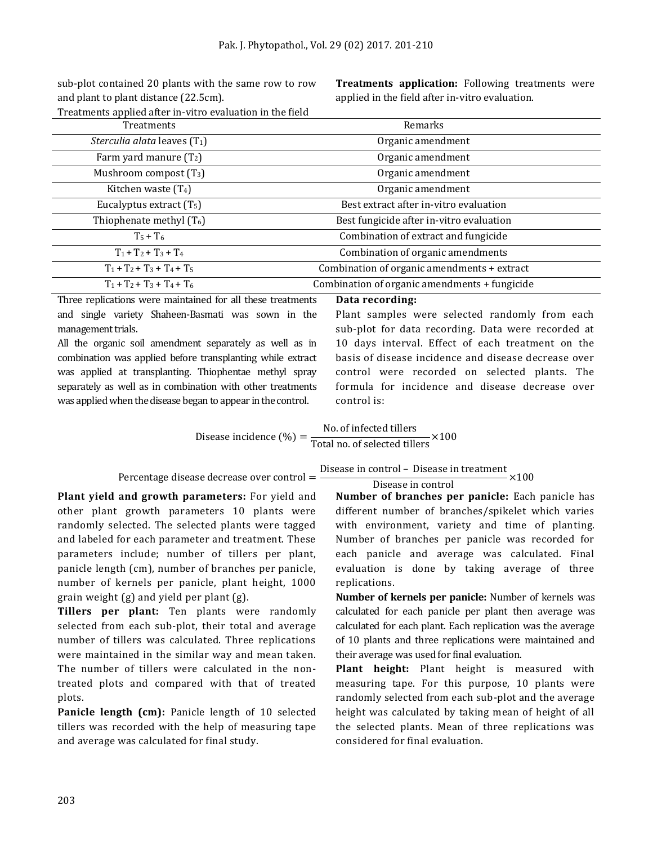sub-plot contained 20 plants with the same row to row and plant to plant distance (22.5cm).

**Treatments application:** Following treatments were applied in the field after in-vitro evaluation.

| Treatments applied after in-vitro evaluation in the field |  |
|-----------------------------------------------------------|--|
| $T_{\text{max}}$                                          |  |

| <b>Treatments</b>                     | Remarks                                       |
|---------------------------------------|-----------------------------------------------|
| <i>Sterculia alata</i> leaves $(T_1)$ | Organic amendment                             |
| Farm yard manure $(T_2)$              | Organic amendment                             |
| Mushroom compost $(T_3)$              | Organic amendment                             |
| Kitchen waste $(T_4)$                 | Organic amendment                             |
| Eucalyptus extract $(T_5)$            | Best extract after in-vitro evaluation        |
| Thiophenate methyl $(T_6)$            | Best fungicide after in-vitro evaluation      |
| $T_5 + T_6$                           | Combination of extract and fungicide          |
| $T_1 + T_2 + T_3 + T_4$               | Combination of organic amendments             |
| $T_1 + T_2 + T_3 + T_4 + T_5$         | Combination of organic amendments + extract   |
| $T_1 + T_2 + T_3 + T_4 + T_6$         | Combination of organic amendments + fungicide |

Three replications were maintained for all these treatments and single variety Shaheen-Basmati was sown in the management trials.

All the organic soil amendment separately as well as in combination was applied before transplanting while extract was applied at transplanting. Thiophentae methyl spray separately as well as in combination with other treatments was applied when the disease began to appear in the control.

#### **Data recording:**

Plant samples were selected randomly from each sub-plot for data recording. Data were recorded at 10 days interval. Effect of each treatment on the basis of disease incidence and disease decrease over control were recorded on selected plants. The formula for incidence and disease decrease over control is:

$$
Disease incidence (\%) = \frac{No. of infected tillers}{Total no. of selected tillers} \times 100
$$

#### Percentage disease decrease over control =

**Plant yield and growth parameters:** For yield and other plant growth parameters 10 plants were randomly selected. The selected plants were tagged and labeled for each parameter and treatment. These parameters include; number of tillers per plant, panicle length (cm), number of branches per panicle, number of kernels per panicle, plant height, 1000 grain weight (g) and yield per plant (g).

**Tillers per plant:** Ten plants were randomly selected from each sub-plot, their total and average number of tillers was calculated. Three replications were maintained in the similar way and mean taken. The number of tillers were calculated in the nontreated plots and compared with that of treated plots.

**Panicle length (cm):** Panicle length of 10 selected tillers was recorded with the help of measuring tape and average was calculated for final study.

Disease in control – Disease in treatment Disease in control ×100

**Number of branches per panicle:** Each panicle has different number of branches/spikelet which varies with environment, variety and time of planting. Number of branches per panicle was recorded for each panicle and average was calculated. Final evaluation is done by taking average of three replications.

**Number of kernels per panicle:** Number of kernels was calculated for each panicle per plant then average was calculated for each plant. Each replication was the average of 10 plants and three replications were maintained and their average was used for final evaluation.

**Plant height:** Plant height is measured with measuring tape. For this purpose, 10 plants were randomly selected from each sub-plot and the average height was calculated by taking mean of height of all the selected plants. Mean of three replications was considered for final evaluation.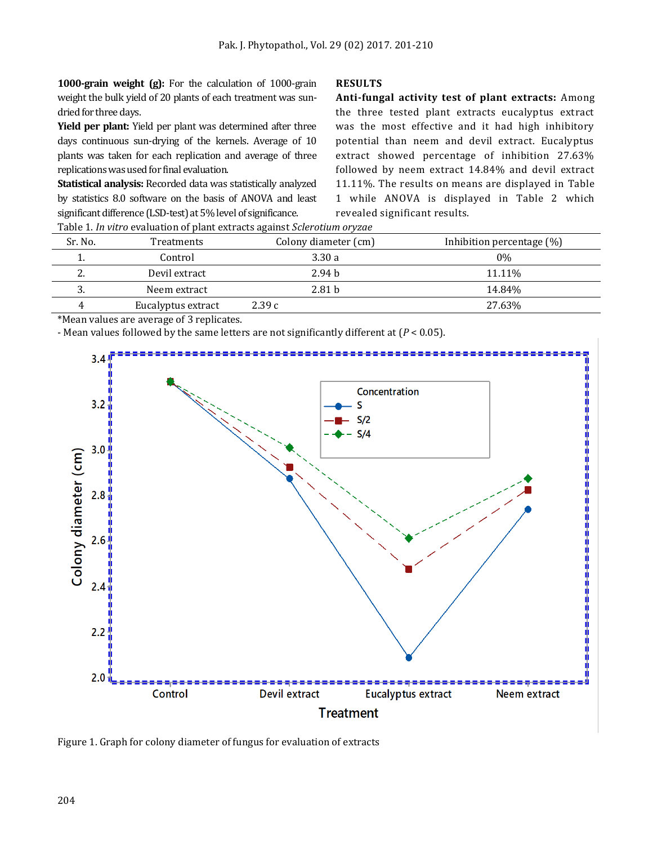**1000-grain weight (g):** For the calculation of 1000-grain weight the bulk yield of 20 plants of each treatment was sundried for three days.

**Yield per plant:** Yield per plant was determined after three days continuous sun-drying of the kernels. Average of 10 plants was taken for each replication and average of three replications was used for final evaluation.

**Statistical analysis:** Recorded data was statistically analyzed by statistics 8.0 software on the basis of ANOVA and least significant difference (LSD-test) at 5% level of significance.

## **RESULTS**

**Anti-fungal activity test of plant extracts:** Among the three tested plant extracts eucalyptus extract was the most effective and it had high inhibitory potential than neem and devil extract. Eucalyptus extract showed percentage of inhibition 27.63% followed by neem extract 14.84% and devil extract 11.11%. The results on means are displayed in Table 1 while ANOVA is displayed in Table 2 which revealed significant results.

| Sr. No.  | <b>Treatments</b>  | Colony diameter (cm) | Inhibition percentage $(\%)$ |  |  |
|----------|--------------------|----------------------|------------------------------|--|--|
|          | Control            | 3.30a                | 0%                           |  |  |
| <u>.</u> | Devil extract      | 2.94 <sub>b</sub>    | 11.11%                       |  |  |
|          | Neem extract       | 2.81 <sub>b</sub>    | 14.84%                       |  |  |
|          | Eucalyptus extract | 2.39c                | 27.63%                       |  |  |
|          |                    |                      |                              |  |  |

Table 1. *In vitro* evaluation of plant extracts against *Sclerotium oryzae*

\*Mean values are average of 3 replicates.

- Mean values followed by the same letters are not significantly different at (*P* < 0.05).



Figure 1. Graph for colony diameter of fungus for evaluation of extracts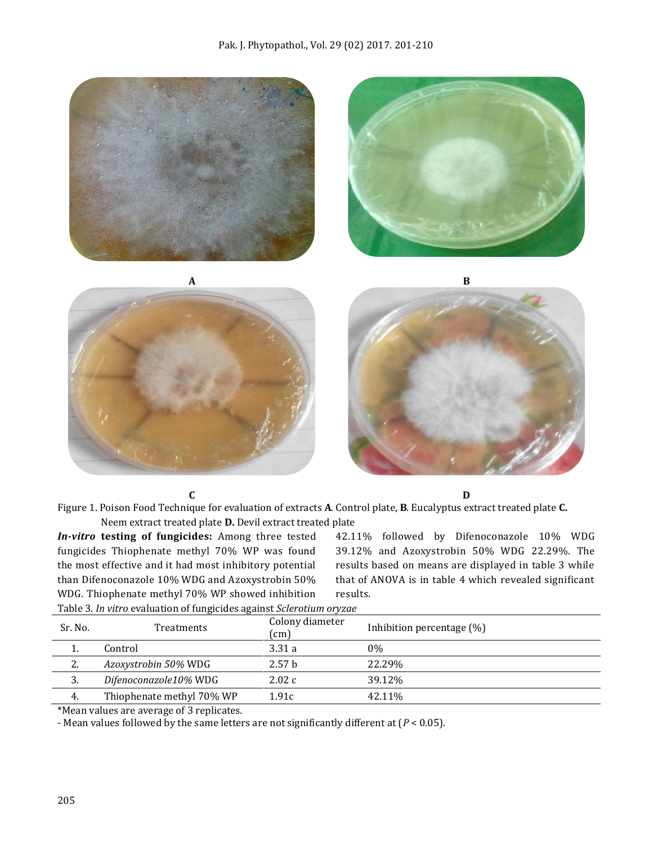

**C D**

Figure 1. Poison Food Technique for evaluation of extracts **A**. Control plate, **B**. Eucalyptus extract treated plate **C.** Neem extract treated plate **D.** Devil extract treated plate

*In-vitro* **testing of fungicides:** Among three tested fungicides Thiophenate methyl 70% WP was found the most effective and it had most inhibitory potential than Difenoconazole 10% WDG and Azoxystrobin 50% WDG. Thiophenate methyl 70% WP showed inhibition

42.11% followed by Difenoconazole 10% WDG 39.12% and Azoxystrobin 50% WDG 22.29%. The results based on means are displayed in table 3 while that of ANOVA is in table 4 which revealed significant results.

| Sr. No. | Treatments                | Colony diameter<br>(cm) | Inhibition percentage (%) |
|---------|---------------------------|-------------------------|---------------------------|
|         | Control                   | 3.31a                   | $0\%$                     |
| 2.      | Azoxystrobin 50% WDG      | 2.57 <sub>b</sub>       | 22.29%                    |
|         | Difenoconazole10% WDG     | 2.02c                   | 39.12%                    |
| 4.      | Thiophenate methyl 70% WP | 1.91c                   | 42.11%                    |
| .       |                           |                         |                           |

Table 3. *In vitro* evaluation of fungicides against *Sclerotium oryzae*

\*Mean values are average of 3 replicates.

- Mean values followed by the same letters are not significantly different at (*P* < 0.05).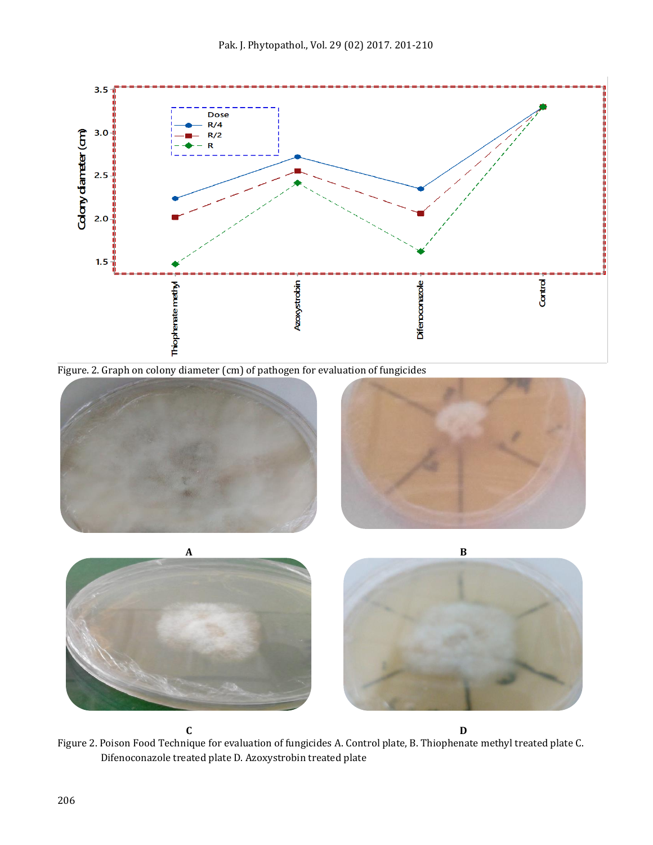

Figure. 2. Graph on colony diameter (cm) of pathogen for evaluation of fungicides





**C D** Figure 2. Poison Food Technique for evaluation of fungicides A. Control plate, B. Thiophenate methyl treated plate C. Difenoconazole treated plate D. Azoxystrobin treated plate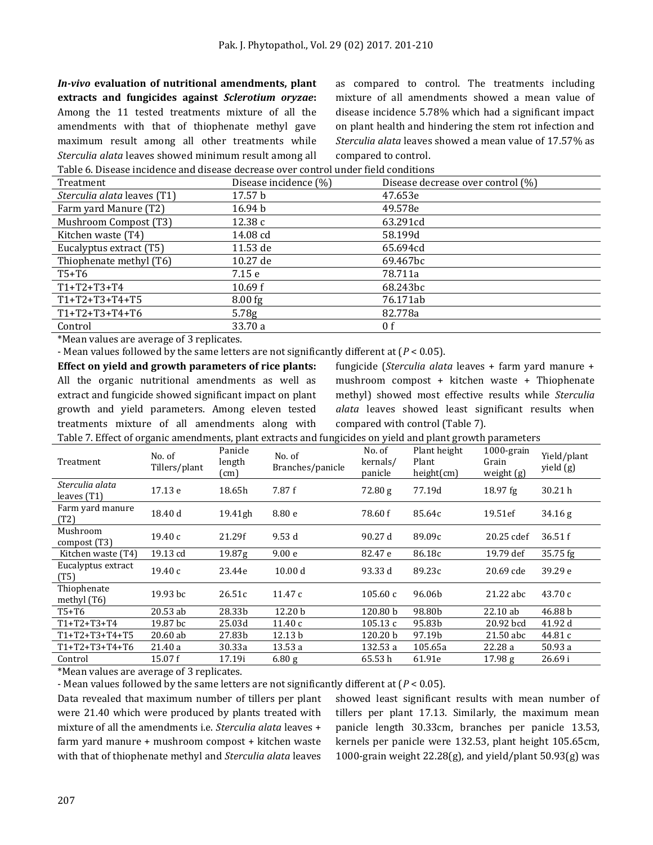*In-vivo* **evaluation of nutritional amendments, plant extracts and fungicides against** *Sclerotium oryzae***:**  Among the 11 tested treatments mixture of all the amendments with that of thiophenate methyl gave maximum result among all other treatments while *Sterculia alata* leaves showed minimum result among all

as compared to control. The treatments including mixture of all amendments showed a mean value of disease incidence 5.78% which had a significant impact on plant health and hindering the stem rot infection and *Sterculia alata* leaves showed a mean value of 17.57% as compared to control.

Table 6. Disease incidence and disease decrease over control under field conditions

| Treatment                   | Disease incidence (%) | Disease decrease over control (%) |  |  |
|-----------------------------|-----------------------|-----------------------------------|--|--|
| Sterculia alata leaves (T1) | 17.57 b               | 47.653e                           |  |  |
| Farm yard Manure (T2)       | 16.94 <sub>b</sub>    | 49.578e                           |  |  |
| Mushroom Compost (T3)       | 12.38c                | 63.291cd                          |  |  |
| Kitchen waste (T4)          | 14.08 cd              | 58.199d                           |  |  |
| Eucalyptus extract (T5)     | 11.53 de              | 65.694cd                          |  |  |
| Thiophenate methyl (T6)     | $10.27$ de            | 69.467bc                          |  |  |
| $T5+T6$                     | 7.15 e                | 78.711a                           |  |  |
| $T1+T2+T3+T4$               | 10.69 f               | 68.243bc                          |  |  |
| $T1+T2+T3+T4+T5$            | $8.00$ fg             | 76.171ab                          |  |  |
| $T1+T2+T3+T4+T6$            | 5.78 <sub>g</sub>     | 82.778a                           |  |  |
| Control                     | 33.70 a               | 0 f                               |  |  |

\*Mean values are average of 3 replicates.

- Mean values followed by the same letters are not significantly different at (*P* < 0.05).

**Effect on yield and growth parameters of rice plants:**  All the organic nutritional amendments as well as extract and fungicide showed significant impact on plant growth and yield parameters. Among eleven tested treatments mixture of all amendments along with

fungicide (*Sterculia alata* leaves + farm yard manure + mushroom compost + kitchen waste + Thiophenate methyl) showed most effective results while *Sterculia alata* leaves showed least significant results when compared with control (Table 7).

Table 7. Effect of organic amendments, plant extracts and fungicides on yield and plant growth parameters

| Treatment                      | No. of<br>Tillers/plant | Panicle<br>length<br>(cm) | No. of<br>Branches/panicle | No. of<br>kernals/<br>panicle | Plant height<br>Plant<br>height(cm) | $1000$ -grain<br>Grain<br>weight (g) | Yield/plant<br>yield (g) |
|--------------------------------|-------------------------|---------------------------|----------------------------|-------------------------------|-------------------------------------|--------------------------------------|--------------------------|
| Sterculia alata<br>leaves (T1) | 17.13 e                 | 18.65h                    | 7.87 f                     | 72.80 g                       | 77.19d                              | $18.97$ fg                           | 30.21h                   |
| Farm yard manure<br>(T2)       | 18.40 d                 | 19.41gh                   | 8.80 e                     | 78.60 f                       | 85.64c                              | 19.51ef                              | 34.16 g                  |
| Mushroom<br>compost (T3)       | 19.40c                  | 21.29f                    | 9.53d                      | 90.27 d                       | 89.09c                              | 20.25 cdef                           | 36.51 f                  |
| Kitchen waste (T4)             | 19.13 cd                | 19.87g                    | 9.00 <sub>e</sub>          | 82.47 e                       | 86.18c                              | 19.79 def                            | 35.75 fg                 |
| Eucalyptus extract<br>(T5)     | 19.40c                  | 23.44e                    | 10.00 d                    | 93.33 d                       | 89.23c                              | 20.69 cde                            | 39.29 e                  |
| Thiophenate<br>methyl $(T6)$   | 19.93 bc                | 26.51c                    | 11.47 c                    | 105.60c                       | 96.06b                              | 21.22 abc                            | 43.70c                   |
| $T5+T6$                        | $20.53$ ab              | 28.33b                    | 12.20 <sub>b</sub>         | 120.80 b                      | 98.80b                              | 22.10ab                              | 46.88 b                  |
| $T1+T2+T3+T4$                  | 19.87 bc                | 25.03d                    | 11.40c                     | 105.13c                       | 95.83b                              | 20.92 bcd                            | 41.92 d                  |
| $T1+T2+T3+T4+T5$               | 20.60 ab                | 27.83b                    | 12.13 b                    | 120.20 b                      | 97.19b                              | 21.50 abc                            | 44.81 c                  |
| $T1+T2+T3+T4+T6$               | 21.40a                  | 30.33a                    | 13.53 a                    | 132.53 a                      | 105.65a                             | 22.28 a                              | 50.93 a                  |
| Control                        | 15.07 f                 | 17.19i                    | 6.80 g                     | 65.53h                        | 61.91e                              | 17.98 <sub>g</sub>                   | 26.69 i                  |

\*Mean values are average of 3 replicates.

- Mean values followed by the same letters are not significantly different at (*P* < 0.05).

Data revealed that maximum number of tillers per plant were 21.40 which were produced by plants treated with mixture of all the amendments i.e. *Sterculia alata* leaves + farm yard manure + mushroom compost + kitchen waste with that of thiophenate methyl and *Sterculia alata* leaves

showed least significant results with mean number of tillers per plant 17.13. Similarly, the maximum mean panicle length 30.33cm, branches per panicle 13.53, kernels per panicle were 132.53, plant height 105.65cm, 1000-grain weight 22.28(g), and yield/plant 50.93(g) was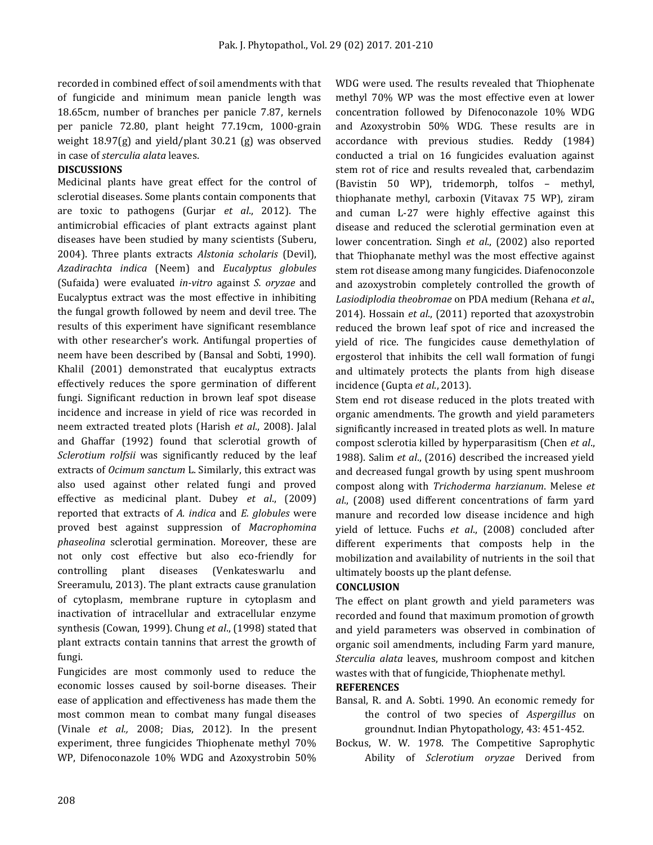recorded in combined effect of soil amendments with that of fungicide and minimum mean panicle length was 18.65cm, number of branches per panicle 7.87, kernels per panicle 72.80, plant height 77.19cm, 1000-grain weight 18.97(g) and yield/plant 30.21 (g) was observed in case of *sterculia alata* leaves.

### **DISCUSSIONS**

Medicinal plants have great effect for the control of sclerotial diseases. Some plants contain components that are toxic to pathogens (Gurjar *et al*., 2012). The antimicrobial efficacies of plant extracts against plant diseases have been studied by many scientists (Suberu, 2004). Three plants extracts *Alstonia scholaris* (Devil), *Azadirachta indica* (Neem) and *Eucalyptus globules*  (Sufaida) were evaluated *in-vitro* against *S. oryzae* and Eucalyptus extract was the most effective in inhibiting the fungal growth followed by neem and devil tree. The results of this experiment have significant resemblance with other researcher's work. Antifungal properties of neem have been described by (Bansal and Sobti, 1990). Khalil (2001) demonstrated that eucalyptus extracts effectively reduces the spore germination of different fungi. Significant reduction in brown leaf spot disease incidence and increase in yield of rice was recorded in neem extracted treated plots (Harish *et al*., 2008). Jalal and Ghaffar (1992) found that sclerotial growth of *Sclerotium rolfsii* was significantly reduced by the leaf extracts of *Ocimum sanctum* L. Similarly, this extract was also used against other related fungi and proved effective as medicinal plant. Dubey *et al*., (2009) reported that extracts of *A. indica* and *E. globules* were proved best against suppression of *Macrophomina phaseolina* sclerotial germination. Moreover, these are not only cost effective but also eco-friendly for controlling plant diseases (Venkateswarlu and Sreeramulu, 2013). The plant extracts cause granulation of cytoplasm, membrane rupture in cytoplasm and inactivation of intracellular and extracellular enzyme synthesis (Cowan, 1999). Chung *et al*., (1998) stated that plant extracts contain tannins that arrest the growth of fungi.

Fungicides are most commonly used to reduce the economic losses caused by soil-borne diseases. Their ease of application and effectiveness has made them the most common mean to combat many fungal diseases (Vinale *et al.,* 2008; Dias, 2012). In the present experiment, three fungicides Thiophenate methyl 70% WP, Difenoconazole 10% WDG and Azoxystrobin 50%

WDG were used. The results revealed that Thiophenate methyl 70% WP was the most effective even at lower concentration followed by Difenoconazole 10% WDG and Azoxystrobin 50% WDG. These results are in accordance with previous studies. Reddy (1984) conducted a trial on 16 fungicides evaluation against stem rot of rice and results revealed that, carbendazim (Bavistin 50 WP), tridemorph, tolfos – methyl, thiophanate methyl, carboxin (Vitavax 75 WP), ziram and cuman L-27 were highly effective against this disease and reduced the sclerotial germination even at lower concentration. Singh *et al*., (2002) also reported that Thiophanate methyl was the most effective against stem rot disease among many fungicides. Diafenoconzole and azoxystrobin completely controlled the growth of *Lasiodiplodia theobromae* on PDA medium (Rehana *et al*., 2014). Hossain *et al*., (2011) reported that azoxystrobin reduced the brown leaf spot of rice and increased the yield of rice. The fungicides cause demethylation of ergosterol that inhibits the cell wall formation of fungi and ultimately protects the plants from high disease incidence (Gupta *et al*., 2013).

Stem end rot disease reduced in the plots treated with organic amendments. The growth and yield parameters significantly increased in treated plots as well. In mature compost sclerotia killed by hyperparasitism (Chen *et al*., 1988). Salim *et al*., (2016) described the increased yield and decreased fungal growth by using spent mushroom compost along with *Trichoderma harzianum*. Melese *et al*., (2008) used different concentrations of farm yard manure and recorded low disease incidence and high yield of lettuce. Fuchs *et al*., (2008) concluded after different experiments that composts help in the mobilization and availability of nutrients in the soil that ultimately boosts up the plant defense.

#### **CONCLUSION**

The effect on plant growth and yield parameters was recorded and found that maximum promotion of growth and yield parameters was observed in combination of organic soil amendments, including Farm yard manure, *Sterculia alata* leaves, mushroom compost and kitchen wastes with that of fungicide, Thiophenate methyl.

#### **REFERENCES**

- Bansal, R. and A. Sobti. 1990. An economic remedy for the control of two species of *Aspergillus* on groundnut. Indian Phytopathology, 43: 451-452.
- Bockus, W. W. 1978. The Competitive Saprophytic Ability of *Sclerotium oryzae* Derived from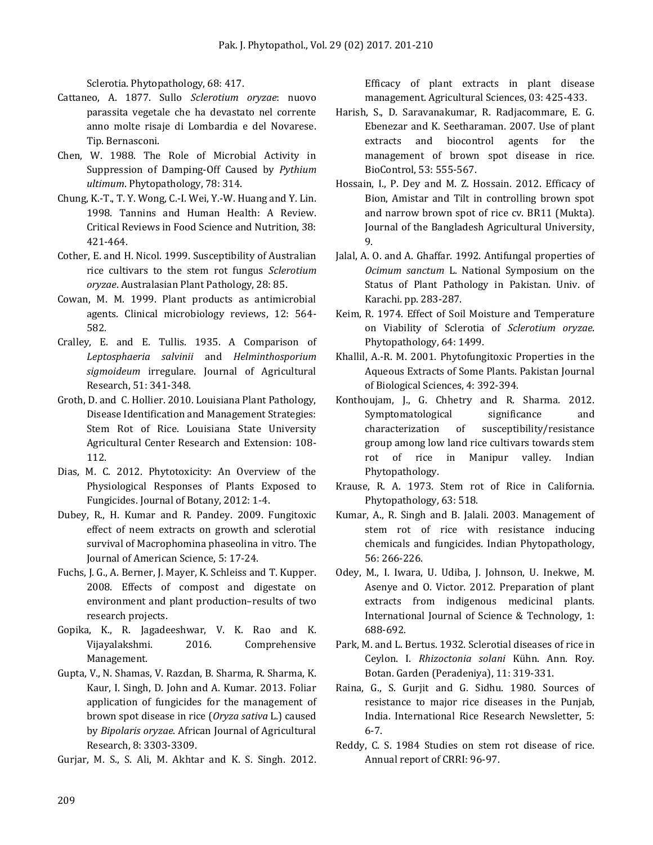Sclerotia. Phytopathology, 68: 417.

- Cattaneo, A. 1877. Sullo *Sclerotium oryzae*: nuovo parassita vegetale che ha devastato nel corrente anno molte risaje di Lombardia e del Novarese. Tip. Bernasconi.
- Chen, W. 1988. The Role of Microbial Activity in Suppression of Damping-Off Caused by *Pythium ultimum*. Phytopathology, 78: 314.
- Chung, K.-T., T. Y. Wong, C.-I. Wei, Y.-W. Huang and Y. Lin. 1998. Tannins and Human Health: A Review. Critical Reviews in Food Science and Nutrition, 38: 421-464.
- Cother, E. and H. Nicol. 1999. Susceptibility of Australian rice cultivars to the stem rot fungus *Sclerotium oryzae*. Australasian Plant Pathology, 28: 85.
- Cowan, M. M. 1999. Plant products as antimicrobial agents. Clinical microbiology reviews, 12: 564- 582.
- Cralley, E. and E. Tullis. 1935. A Comparison of *Leptosphaeria salvinii* and *Helminthosporium sigmoideum* irregulare. Journal of Agricultural Research, 51: 341-348.
- Groth, D. and C. Hollier. 2010. Louisiana Plant Pathology, Disease Identification and Management Strategies: Stem Rot of Rice. Louisiana State University Agricultural Center Research and Extension: 108- 112.
- Dias, M. C. 2012. Phytotoxicity: An Overview of the Physiological Responses of Plants Exposed to Fungicides. Journal of Botany, 2012: 1-4.
- Dubey, R., H. Kumar and R. Pandey. 2009. Fungitoxic effect of neem extracts on growth and sclerotial survival of Macrophomina phaseolina in vitro. [The](http://www.jofamericanscience.org/)  [Journal of American Science,](http://www.jofamericanscience.org/) 5: 17-24.
- Fuchs, J. G., A. Berner, J. Mayer, K. Schleiss and T. Kupper. 2008. Effects of compost and digestate on environment and plant production–results of two research projects.
- Gopika, K., R. Jagadeeshwar, V. K. Rao and K. Vijayalakshmi. 2016. Comprehensive Management.
- Gupta, V., N. Shamas, V. Razdan, B. Sharma, R. Sharma, K. Kaur, I. Singh, D. John and A. Kumar. 2013. Foliar application of fungicides for the management of brown spot disease in rice (*Oryza sativa* L.) caused by *Bipolaris oryzae*. African Journal of Agricultural Research, 8: 3303-3309.
- Gurjar, M. S., S. Ali, M. Akhtar and K. S. Singh. 2012.

Efficacy of plant extracts in plant disease management. Agricultural Sciences, 03: 425-433.

- Harish, S., D. Saravanakumar, R. Radjacommare, E. G. Ebenezar and K. Seetharaman. 2007. Use of plant extracts and biocontrol agents for the management of brown spot disease in rice. BioControl, 53: 555-567.
- Hossain, I., P. Dey and M. Z. Hossain. 2012. Efficacy of Bion, Amistar and Tilt in controlling brown spot and narrow brown spot of rice cv. BR11 (Mukta). Journal of the Bangladesh Agricultural University, 9.
- Jalal, A. O. and A. Ghaffar. 1992. Antifungal properties of *Ocimum sanctum* L. National Symposium on the Status of Plant Pathology in Pakistan. Univ. of Karachi. pp. 283-287.
- Keim, R. 1974. Effect of Soil Moisture and Temperature on Viability of Sclerotia of *Sclerotium oryzae*. Phytopathology, 64: 1499.
- Khallil, A.-R. M. 2001. Phytofungitoxic Properties in the Aqueous Extracts of Some Plants. Pakistan Journal of Biological Sciences, 4: 392-394.
- Konthoujam, J., G. Chhetry and R. Sharma. 2012. Symptomatological significance and characterization of susceptibility/resistance group among low land rice cultivars towards stem rot of rice in Manipur valley. Indian Phytopathology.
- Krause, R. A. 1973. Stem rot of Rice in California. Phytopathology, 63: 518.
- Kumar, A., R. Singh and B. Jalali. 2003. Management of stem rot of rice with resistance inducing chemicals and fungicides. Indian Phytopathology, 56: 266-226.
- Odey, M., I. Iwara, U. Udiba, J. Johnson, U. Inekwe, M. Asenye and O. Victor. 2012. Preparation of plant extracts from indigenous medicinal plants. [International Journal of Science & Technology,](http://www.journalofsciences-technology.org/) 1: 688-692.
- Park, M. and L. Bertus. 1932. Sclerotial diseases of rice in Ceylon. I. *Rhizoctonia solani* Kühn. Ann. Roy. Botan. Garden (Peradeniya), 11: 319-331.
- Raina, G., S. Gurjit and G. Sidhu. 1980. Sources of resistance to major rice diseases in the Punjab, India. International Rice Research Newsletter, 5: 6-7.
- Reddy, C. S. 1984 Studies on stem rot disease of rice. Annual report of CRRI: 96-97.